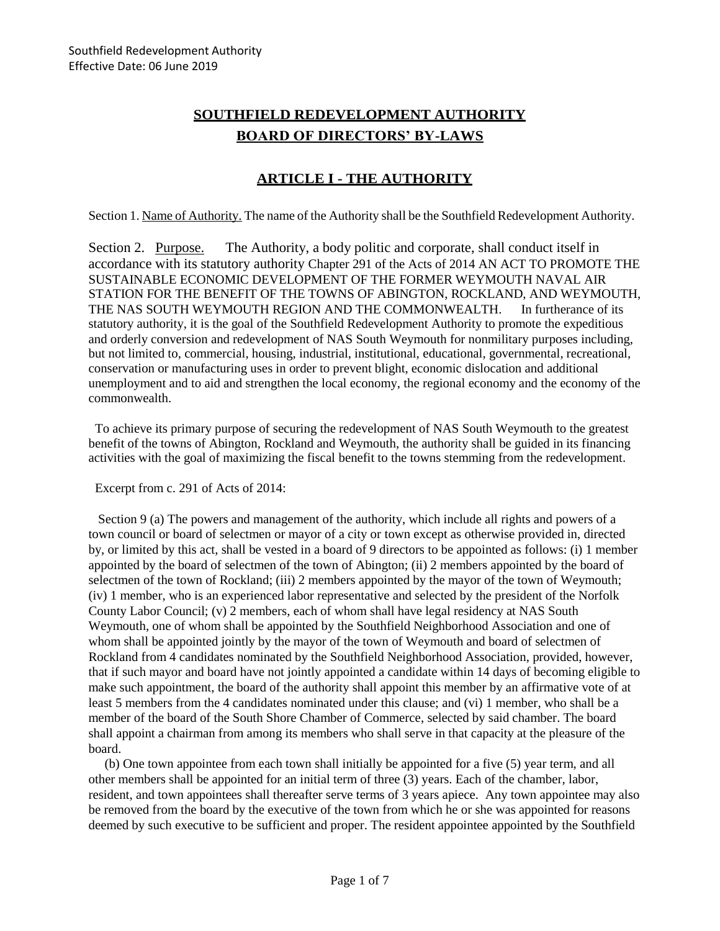# **SOUTHFIELD REDEVELOPMENT AUTHORITY BOARD OF DIRECTORS' BY-LAWS**

### **ARTICLE I - THE AUTHORITY**

Section 1. Name of Authority. The name of the Authority shall be the Southfield Redevelopment Authority.

Section 2. Purpose. The Authority, a body politic and corporate, shall conduct itself in accordance with its statutory authority Chapter 291 of the Acts of 2014 AN ACT TO PROMOTE THE SUSTAINABLE ECONOMIC DEVELOPMENT OF THE FORMER WEYMOUTH NAVAL AIR STATION FOR THE BENEFIT OF THE TOWNS OF ABINGTON, ROCKLAND, AND WEYMOUTH, THE NAS SOUTH WEYMOUTH REGION AND THE COMMONWEALTH. In furtherance of its statutory authority, it is the goal of the Southfield Redevelopment Authority to promote the expeditious and orderly conversion and redevelopment of NAS South Weymouth for nonmilitary purposes including, but not limited to, commercial, housing, industrial, institutional, educational, governmental, recreational, conservation or manufacturing uses in order to prevent blight, economic dislocation and additional unemployment and to aid and strengthen the local economy, the regional economy and the economy of the commonwealth.

 To achieve its primary purpose of securing the redevelopment of NAS South Weymouth to the greatest benefit of the towns of Abington, Rockland and Weymouth, the authority shall be guided in its financing activities with the goal of maximizing the fiscal benefit to the towns stemming from the redevelopment.

Excerpt from c. 291 of Acts of 2014:

 Section 9 (a) The powers and management of the authority, which include all rights and powers of a town council or board of selectmen or mayor of a city or town except as otherwise provided in, directed by, or limited by this act, shall be vested in a board of 9 directors to be appointed as follows: (i) 1 member appointed by the board of selectmen of the town of Abington; (ii) 2 members appointed by the board of selectmen of the town of Rockland; (iii) 2 members appointed by the mayor of the town of Weymouth; (iv) 1 member, who is an experienced labor representative and selected by the president of the Norfolk County Labor Council; (v) 2 members, each of whom shall have legal residency at NAS South Weymouth, one of whom shall be appointed by the Southfield Neighborhood Association and one of whom shall be appointed jointly by the mayor of the town of Weymouth and board of selectmen of Rockland from 4 candidates nominated by the Southfield Neighborhood Association, provided, however, that if such mayor and board have not jointly appointed a candidate within 14 days of becoming eligible to make such appointment, the board of the authority shall appoint this member by an affirmative vote of at least 5 members from the 4 candidates nominated under this clause; and (vi) 1 member, who shall be a member of the board of the South Shore Chamber of Commerce, selected by said chamber. The board shall appoint a chairman from among its members who shall serve in that capacity at the pleasure of the board.

 (b) One town appointee from each town shall initially be appointed for a five (5) year term, and all other members shall be appointed for an initial term of three (3) years. Each of the chamber, labor, resident, and town appointees shall thereafter serve terms of 3 years apiece. Any town appointee may also be removed from the board by the executive of the town from which he or she was appointed for reasons deemed by such executive to be sufficient and proper. The resident appointee appointed by the Southfield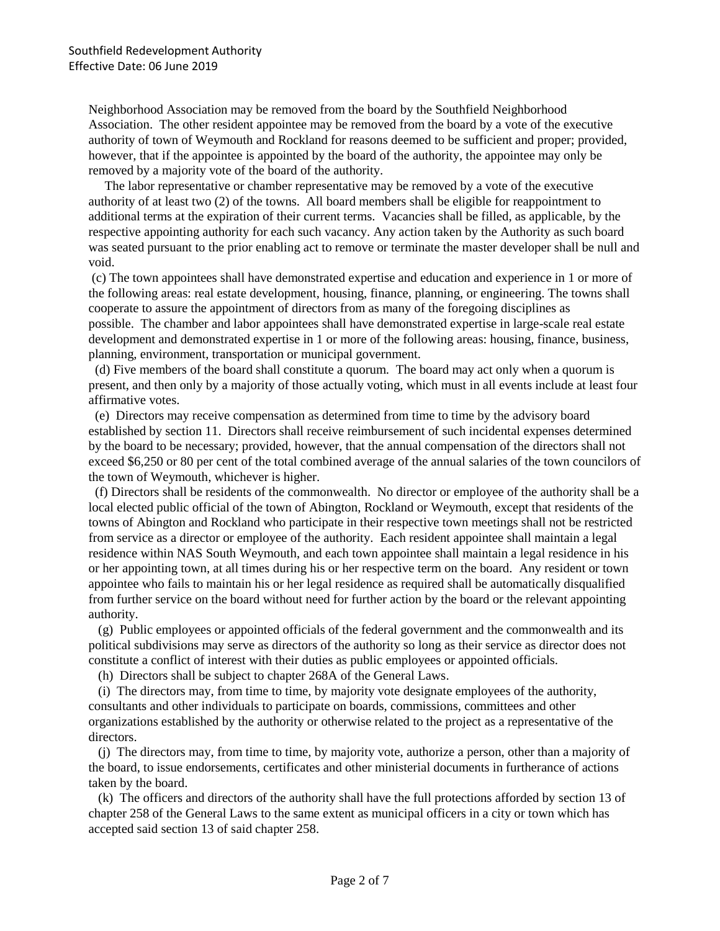Neighborhood Association may be removed from the board by the Southfield Neighborhood Association. The other resident appointee may be removed from the board by a vote of the executive authority of town of Weymouth and Rockland for reasons deemed to be sufficient and proper; provided, however, that if the appointee is appointed by the board of the authority, the appointee may only be removed by a majority vote of the board of the authority.

 The labor representative or chamber representative may be removed by a vote of the executive authority of at least two (2) of the towns. All board members shall be eligible for reappointment to additional terms at the expiration of their current terms. Vacancies shall be filled, as applicable, by the respective appointing authority for each such vacancy. Any action taken by the Authority as such board was seated pursuant to the prior enabling act to remove or terminate the master developer shall be null and void.

(c) The town appointees shall have demonstrated expertise and education and experience in 1 or more of the following areas: real estate development, housing, finance, planning, or engineering. The towns shall cooperate to assure the appointment of directors from as many of the foregoing disciplines as possible. The chamber and labor appointees shall have demonstrated expertise in large-scale real estate development and demonstrated expertise in 1 or more of the following areas: housing, finance, business, planning, environment, transportation or municipal government.

 (d) Five members of the board shall constitute a quorum. The board may act only when a quorum is present, and then only by a majority of those actually voting, which must in all events include at least four affirmative votes.

 (e) Directors may receive compensation as determined from time to time by the advisory board established by section 11. Directors shall receive reimbursement of such incidental expenses determined by the board to be necessary; provided, however, that the annual compensation of the directors shall not exceed \$6,250 or 80 per cent of the total combined average of the annual salaries of the town councilors of the town of Weymouth, whichever is higher.

 (f) Directors shall be residents of the commonwealth. No director or employee of the authority shall be a local elected public official of the town of Abington, Rockland or Weymouth, except that residents of the towns of Abington and Rockland who participate in their respective town meetings shall not be restricted from service as a director or employee of the authority. Each resident appointee shall maintain a legal residence within NAS South Weymouth, and each town appointee shall maintain a legal residence in his or her appointing town, at all times during his or her respective term on the board. Any resident or town appointee who fails to maintain his or her legal residence as required shall be automatically disqualified from further service on the board without need for further action by the board or the relevant appointing authority.

 (g) Public employees or appointed officials of the federal government and the commonwealth and its political subdivisions may serve as directors of the authority so long as their service as director does not constitute a conflict of interest with their duties as public employees or appointed officials.

(h) Directors shall be subject to chapter 268A of the General Laws.

 (i) The directors may, from time to time, by majority vote designate employees of the authority, consultants and other individuals to participate on boards, commissions, committees and other organizations established by the authority or otherwise related to the project as a representative of the directors.

 (j) The directors may, from time to time, by majority vote, authorize a person, other than a majority of the board, to issue endorsements, certificates and other ministerial documents in furtherance of actions taken by the board.

 (k) The officers and directors of the authority shall have the full protections afforded by section 13 of chapter 258 of the General Laws to the same extent as municipal officers in a city or town which has accepted said section 13 of said chapter 258.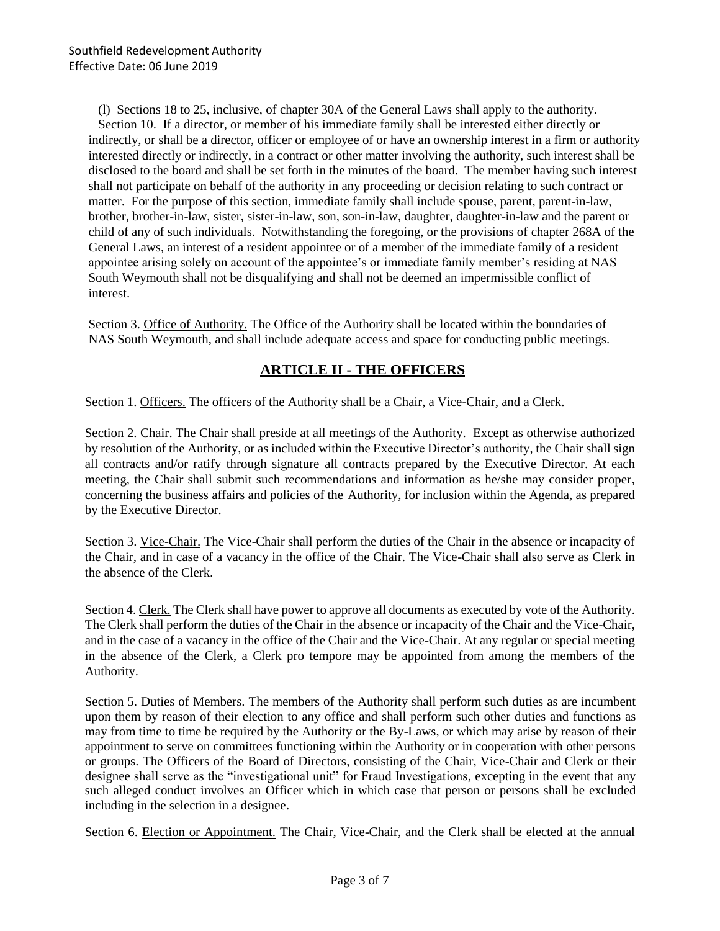(l) Sections 18 to 25, inclusive, of chapter 30A of the General Laws shall apply to the authority. Section 10. If a director, or member of his immediate family shall be interested either directly or indirectly, or shall be a director, officer or employee of or have an ownership interest in a firm or authority interested directly or indirectly, in a contract or other matter involving the authority, such interest shall be disclosed to the board and shall be set forth in the minutes of the board. The member having such interest shall not participate on behalf of the authority in any proceeding or decision relating to such contract or matter. For the purpose of this section, immediate family shall include spouse, parent, parent-in-law, brother, brother-in-law, sister, sister-in-law, son, son-in-law, daughter, daughter-in-law and the parent or child of any of such individuals. Notwithstanding the foregoing, or the provisions of chapter 268A of the General Laws, an interest of a resident appointee or of a member of the immediate family of a resident appointee arising solely on account of the appointee's or immediate family member's residing at NAS South Weymouth shall not be disqualifying and shall not be deemed an impermissible conflict of interest.

Section 3. Office of Authority. The Office of the Authority shall be located within the boundaries of NAS South Weymouth, and shall include adequate access and space for conducting public meetings.

#### **ARTICLE II - THE OFFICERS**

Section 1. Officers. The officers of the Authority shall be a Chair, a Vice-Chair, and a Clerk.

Section 2. Chair. The Chair shall preside at all meetings of the Authority. Except as otherwise authorized by resolution of the Authority, or as included within the Executive Director's authority, the Chair shall sign all contracts and/or ratify through signature all contracts prepared by the Executive Director. At each meeting, the Chair shall submit such recommendations and information as he/she may consider proper, concerning the business affairs and policies of the Authority, for inclusion within the Agenda, as prepared by the Executive Director.

Section 3. Vice-Chair. The Vice-Chair shall perform the duties of the Chair in the absence or incapacity of the Chair, and in case of a vacancy in the office of the Chair. The Vice-Chair shall also serve as Clerk in the absence of the Clerk.

Section 4. Clerk. The Clerk shall have power to approve all documents as executed by vote of the Authority. The Clerk shall perform the duties of the Chair in the absence or incapacity of the Chair and the Vice-Chair, and in the case of a vacancy in the office of the Chair and the Vice-Chair. At any regular or special meeting in the absence of the Clerk, a Clerk pro tempore may be appointed from among the members of the Authority.

Section 5. Duties of Members. The members of the Authority shall perform such duties as are incumbent upon them by reason of their election to any office and shall perform such other duties and functions as may from time to time be required by the Authority or the By-Laws, or which may arise by reason of their appointment to serve on committees functioning within the Authority or in cooperation with other persons or groups. The Officers of the Board of Directors, consisting of the Chair, Vice-Chair and Clerk or their designee shall serve as the "investigational unit" for Fraud Investigations, excepting in the event that any such alleged conduct involves an Officer which in which case that person or persons shall be excluded including in the selection in a designee.

Section 6. Election or Appointment. The Chair, Vice-Chair, and the Clerk shall be elected at the annual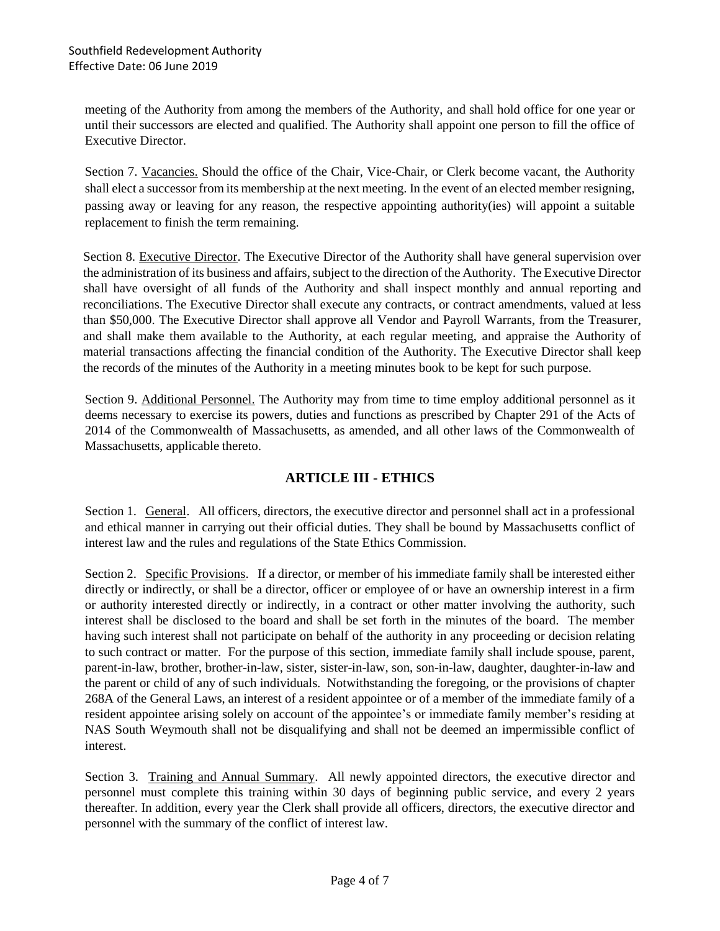meeting of the Authority from among the members of the Authority, and shall hold office for one year or until their successors are elected and qualified. The Authority shall appoint one person to fill the office of Executive Director.

Section 7. Vacancies. Should the office of the Chair, Vice-Chair, or Clerk become vacant, the Authority shall elect a successor from its membership at the next meeting. In the event of an elected member resigning, passing away or leaving for any reason, the respective appointing authority(ies) will appoint a suitable replacement to finish the term remaining.

Section 8. Executive Director. The Executive Director of the Authority shall have general supervision over the administration of its business and affairs, subject to the direction of the Authority. The Executive Director shall have oversight of all funds of the Authority and shall inspect monthly and annual reporting and reconciliations. The Executive Director shall execute any contracts, or contract amendments, valued at less than \$50,000. The Executive Director shall approve all Vendor and Payroll Warrants, from the Treasurer, and shall make them available to the Authority, at each regular meeting, and appraise the Authority of material transactions affecting the financial condition of the Authority. The Executive Director shall keep the records of the minutes of the Authority in a meeting minutes book to be kept for such purpose.

Section 9. Additional Personnel. The Authority may from time to time employ additional personnel as it deems necessary to exercise its powers, duties and functions as prescribed by Chapter 291 of the Acts of 2014 of the Commonwealth of Massachusetts, as amended, and all other laws of the Commonwealth of Massachusetts, applicable thereto.

### **ARTICLE III - ETHICS**

Section 1. General. All officers, directors, the executive director and personnel shall act in a professional and ethical manner in carrying out their official duties. They shall be bound by Massachusetts conflict of interest law and the rules and regulations of the State Ethics Commission.

Section 2. Specific Provisions. If a director, or member of his immediate family shall be interested either directly or indirectly, or shall be a director, officer or employee of or have an ownership interest in a firm or authority interested directly or indirectly, in a contract or other matter involving the authority, such interest shall be disclosed to the board and shall be set forth in the minutes of the board. The member having such interest shall not participate on behalf of the authority in any proceeding or decision relating to such contract or matter. For the purpose of this section, immediate family shall include spouse, parent, parent-in-law, brother, brother-in-law, sister, sister-in-law, son, son-in-law, daughter, daughter-in-law and the parent or child of any of such individuals. Notwithstanding the foregoing, or the provisions of chapter 268A of the General Laws, an interest of a resident appointee or of a member of the immediate family of a resident appointee arising solely on account of the appointee's or immediate family member's residing at NAS South Weymouth shall not be disqualifying and shall not be deemed an impermissible conflict of interest.

Section 3. Training and Annual Summary. All newly appointed directors, the executive director and personnel must complete this training within 30 days of beginning public service, and every 2 years thereafter. In addition, every year the Clerk shall provide all officers, directors, the executive director and personnel with the summary of the conflict of interest law.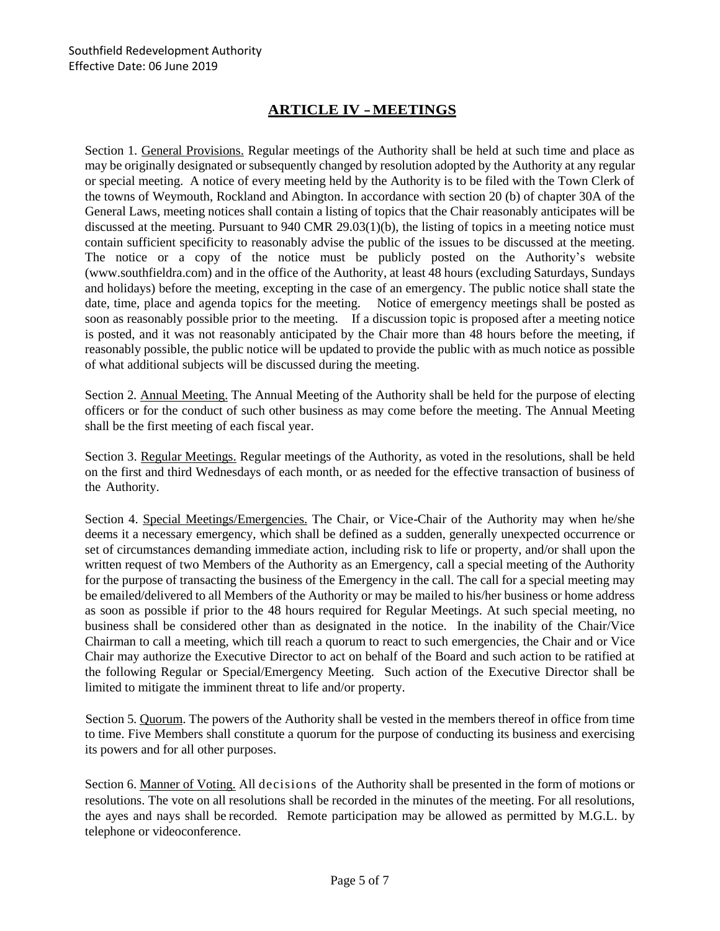## **ARTICLE IV - MEETINGS**

Section 1. General Provisions. Regular meetings of the Authority shall be held at such time and place as may be originally designated or subsequently changed by resolution adopted by the Authority at any regular or special meeting. A notice of every meeting held by the Authority is to be filed with the Town Clerk of the towns of Weymouth, Rockland and Abington. In accordance with section 20 (b) of chapter 30A of the General Laws, meeting notices shall contain a listing of topics that the Chair reasonably anticipates will be discussed at the meeting. Pursuant to 940 CMR 29.03(1)(b), the listing of topics in a meeting notice must contain sufficient specificity to reasonably advise the public of the issues to be discussed at the meeting. The notice or a copy of the notice must be publicly posted on the Authority's website (www.southfieldra.com) and in the office of the Authority, at least 48 hours (excluding Saturdays, Sundays and holidays) before the meeting, excepting in the case of an emergency. The public notice shall state the date, time, place and agenda topics for the meeting. Notice of emergency meetings shall be posted as soon as reasonably possible prior to the meeting. If a discussion topic is proposed after a meeting notice is posted, and it was not reasonably anticipated by the Chair more than 48 hours before the meeting, if reasonably possible, the public notice will be updated to provide the public with as much notice as possible of what additional subjects will be discussed during the meeting.

Section 2. Annual Meeting. The Annual Meeting of the Authority shall be held for the purpose of electing officers or for the conduct of such other business as may come before the meeting. The Annual Meeting shall be the first meeting of each fiscal year.

Section 3. Regular Meetings. Regular meetings of the Authority, as voted in the resolutions, shall be held on the first and third Wednesdays of each month, or as needed for the effective transaction of business of the Authority.

Section 4. Special Meetings/Emergencies. The Chair, or Vice-Chair of the Authority may when he/she deems it a necessary emergency, which shall be defined as a sudden, generally unexpected occurrence or set of circumstances demanding immediate action, including risk to life or property, and/or shall upon the written request of two Members of the Authority as an Emergency, call a special meeting of the Authority for the purpose of transacting the business of the Emergency in the call. The call for a special meeting may be emailed/delivered to all Members of the Authority or may be mailed to his/her business or home address as soon as possible if prior to the 48 hours required for Regular Meetings. At such special meeting, no business shall be considered other than as designated in the notice. In the inability of the Chair/Vice Chairman to call a meeting, which till reach a quorum to react to such emergencies, the Chair and or Vice Chair may authorize the Executive Director to act on behalf of the Board and such action to be ratified at the following Regular or Special/Emergency Meeting. Such action of the Executive Director shall be limited to mitigate the imminent threat to life and/or property.

Section 5. Quorum. The powers of the Authority shall be vested in the members thereof in office from time to time. Five Members shall constitute a quorum for the purpose of conducting its business and exercising its powers and for all other purposes.

Section 6. Manner of Voting. All decisions of the Authority shall be presented in the form of motions or resolutions. The vote on all resolutions shall be recorded in the minutes of the meeting. For all resolutions, the ayes and nays shall be recorded. Remote participation may be allowed as permitted by M.G.L. by telephone or videoconference.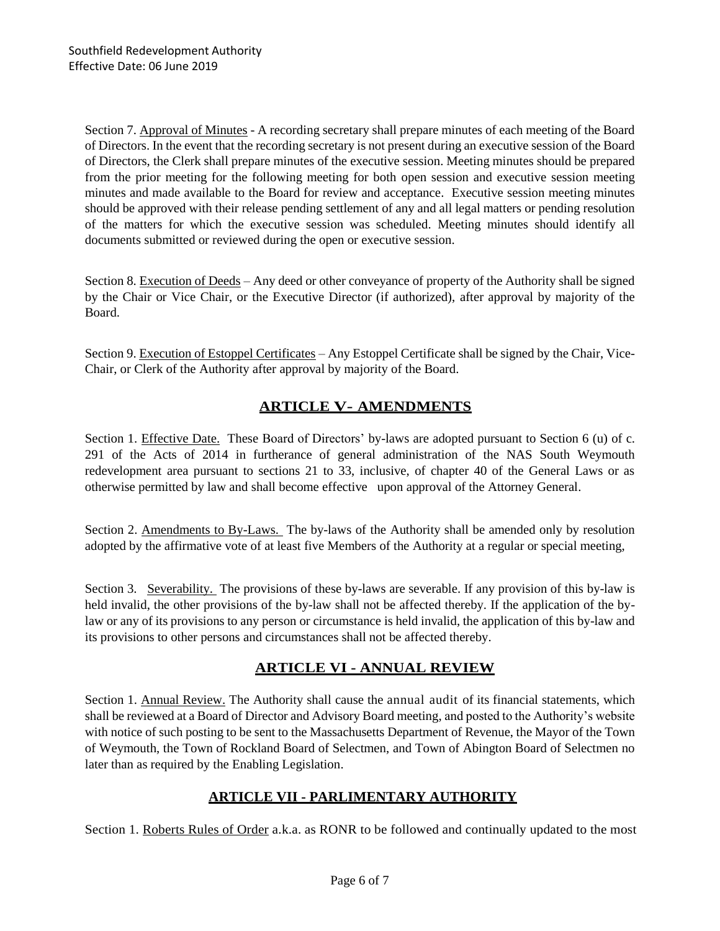Section 7. Approval of Minutes - A recording secretary shall prepare minutes of each meeting of the Board of Directors. In the event that the recording secretary is not present during an executive session of the Board of Directors, the Clerk shall prepare minutes of the executive session. Meeting minutes should be prepared from the prior meeting for the following meeting for both open session and executive session meeting minutes and made available to the Board for review and acceptance. Executive session meeting minutes should be approved with their release pending settlement of any and all legal matters or pending resolution of the matters for which the executive session was scheduled. Meeting minutes should identify all documents submitted or reviewed during the open or executive session.

Section 8. Execution of Deeds – Any deed or other conveyance of property of the Authority shall be signed by the Chair or Vice Chair, or the Executive Director (if authorized), after approval by majority of the Board.

Section 9. Execution of Estoppel Certificates – Any Estoppel Certificate shall be signed by the Chair, Vice-Chair, or Clerk of the Authority after approval by majority of the Board.

### **ARTICLE V- AMENDMENTS**

Section 1. Effective Date. These Board of Directors' by-laws are adopted pursuant to Section 6 (u) of c. 291 of the Acts of 2014 in furtherance of general administration of the NAS South Weymouth redevelopment area pursuant to sections 21 to 33, inclusive, of chapter 40 of the General Laws or as otherwise permitted by law and shall become effective upon approval of the Attorney General.

Section 2. Amendments to By-Laws. The by-laws of the Authority shall be amended only by resolution adopted by the affirmative vote of at least five Members of the Authority at a regular or special meeting,

Section 3. Severability. The provisions of these by-laws are severable. If any provision of this by-law is held invalid, the other provisions of the by-law shall not be affected thereby. If the application of the bylaw or any of its provisions to any person or circumstance is held invalid, the application of this by-law and its provisions to other persons and circumstances shall not be affected thereby.

### **ARTICLE VI - ANNUAL REVIEW**

Section 1. Annual Review. The Authority shall cause the annual audit of its financial statements, which shall be reviewed at a Board of Director and Advisory Board meeting, and posted to the Authority's website with notice of such posting to be sent to the Massachusetts Department of Revenue, the Mayor of the Town of Weymouth, the Town of Rockland Board of Selectmen, and Town of Abington Board of Selectmen no later than as required by the Enabling Legislation.

### **ARTICLE VII - PARLIMENTARY AUTHORITY**

Section 1. Roberts Rules of Order a.k.a. as RONR to be followed and continually updated to the most